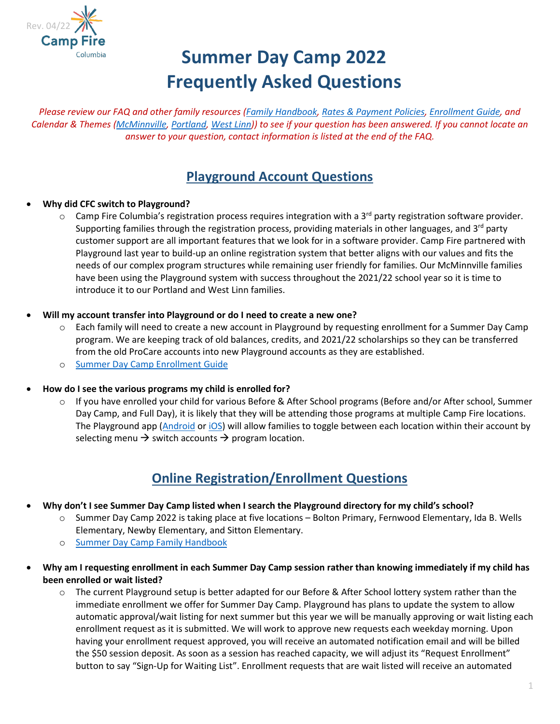

# **Summer Day Camp 2022 Frequently Asked Questions**

*Please review our FAQ and other family resources [\(Family Handbook,](https://campfirecolumbia.org/wp-content/uploads/2022/04/SDC-2022-Handbook.pdf) [Rates & Payment Policies,](https://campfirecolumbia.org/wp-content/uploads/2022/04/SDC22-Rates-Payment-Policies-1.pdf) [Enrollment Guide,](https://campfirecolumbia.org/wp-content/uploads/2022/04/SDC-2022-Enrollment-Guide.pdf) and Calendar & Themes [\(McMinnville,](https://campfirecolumbia.org/wp-content/uploads/2022/04/MDC22-Calendar-Themes.pdf) [Portland,](https://campfirecolumbia.org/wp-content/uploads/2022/04/PDC22-Calendar-Themes.pdf) [West Linn\)](https://campfirecolumbia.org/wp-content/uploads/2022/04/WLDC22-Calendar-Themes.pdf)) to see if your question has been answered. If you cannot locate an answer to your question, contact information is listed at the end of the FAQ.*

# **Playground Account Questions**

#### • **Why did CFC switch to Playground?**

 $\circ$  Camp Fire Columbia's registration process requires integration with a 3<sup>rd</sup> party registration software provider. Supporting families through the registration process, providing materials in other languages, and  $3^{rd}$  party customer support are all important features that we look for in a software provider. Camp Fire partnered with Playground last year to build-up an online registration system that better aligns with our values and fits the needs of our complex program structures while remaining user friendly for families. Our McMinnville families have been using the Playground system with success throughout the 2021/22 school year so it is time to introduce it to our Portland and West Linn families.

#### • **Will my account transfer into Playground or do I need to create a new one?**

- o Each family will need to create a new account in Playground by requesting enrollment for a Summer Day Camp program. We are keeping track of old balances, credits, and 2021/22 scholarships so they can be transferred from the old ProCare accounts into new Playground accounts as they are established.
- o [Summer Day Camp Enrollment Guide](https://campfirecolumbia.org/wp-content/uploads/2022/04/SDC-2022-Enrollment-Guide.pdf)
- **How do I see the various programs my child is enrolled for?**
	- o If you have enrolled your child for various Before & After School programs (Before and/or After school, Summer Day Camp, and Full Day), it is likely that they will be attending those programs at multiple Camp Fire locations. The Playground app [\(Android](https://play.google.com/store/apps/details?id=com.afterschooldevelopment.carline&hl=en_US&gl=US) or [iOS\)](https://apps.apple.com/us/app/playground-school-management/id1486661197) will allow families to toggle between each location within their account by selecting menu  $\rightarrow$  switch accounts  $\rightarrow$  program location.

# **Online Registration/Enrollment Questions**

- **Why don't I see Summer Day Camp listed when I search the Playground directory for my child's school?**
	- Summer Day Camp 2022 is taking place at five locations Bolton Primary, Fernwood Elementary, Ida B. Wells Elementary, Newby Elementary, and Sitton Elementary.
	- o [Summer Day Camp Family Handbook](https://campfirecolumbia.org/wp-content/uploads/2022/04/SDC-2022-Handbook.pdf)
- **Why am I requesting enrollment in each Summer Day Camp session rather than knowing immediately if my child has been enrolled or wait listed?**
	- $\circ$  The current Playground setup is better adapted for our Before & After School lottery system rather than the immediate enrollment we offer for Summer Day Camp. Playground has plans to update the system to allow automatic approval/wait listing for next summer but this year we will be manually approving or wait listing each enrollment request as it is submitted. We will work to approve new requests each weekday morning. Upon having your enrollment request approved, you will receive an automated notification email and will be billed the \$50 session deposit. As soon as a session has reached capacity, we will adjust its "Request Enrollment" button to say "Sign-Up for Waiting List". Enrollment requests that are wait listed will receive an automated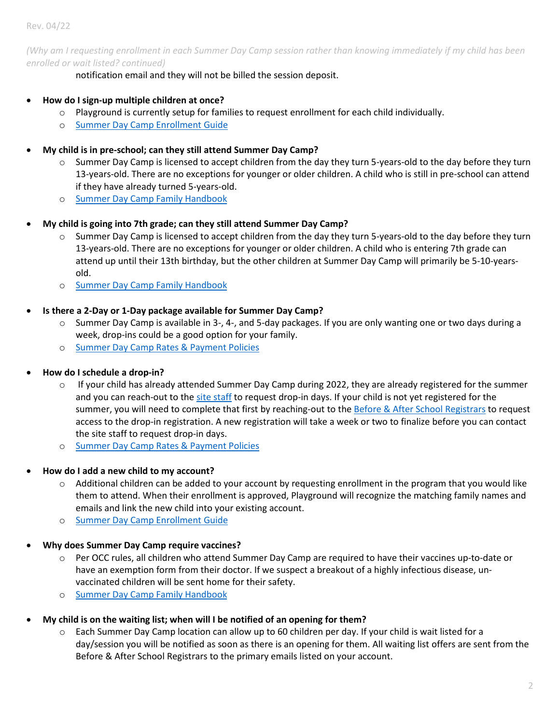Rev. 04/22

*(Why am I requesting enrollment in each Summer Day Camp session rather than knowing immediately if my child has been enrolled or wait listed? continued)*

notification email and they will not be billed the session deposit.

- **How do I sign-up multiple children at once?**
	- Playground is currently setup for families to request enrollment for each child individually.
	- o [Summer Day Camp Enrollment Guide](https://campfirecolumbia.org/wp-content/uploads/2022/04/SDC-2022-Enrollment-Guide.pdf)
- **My child is in pre-school; can they still attend Summer Day Camp?**
	- Summer Day Camp is licensed to accept children from the day they turn 5-years-old to the day before they turn 13-years-old. There are no exceptions for younger or older children. A child who is still in pre-school can attend if they have already turned 5-years-old.
	- o [Summer Day Camp Family Handbook](https://campfirecolumbia.org/wp-content/uploads/2022/04/SDC-2022-Handbook.pdf)
- **My child is going into 7th grade; can they still attend Summer Day Camp?**
	- o Summer Day Camp is licensed to accept children from the day they turn 5-years-old to the day before they turn 13-years-old. There are no exceptions for younger or older children. A child who is entering 7th grade can attend up until their 13th birthday, but the other children at Summer Day Camp will primarily be 5-10-yearsold.
	- o [Summer Day Camp Family Handbook](https://campfirecolumbia.org/wp-content/uploads/2022/04/SDC-2022-Handbook.pdf)
- **Is there a 2-Day or 1-Day package available for Summer Day Camp?**
	- $\circ$  Summer Day Camp is available in 3-, 4-, and 5-day packages. If you are only wanting one or two days during a week, drop-ins could be a good option for your family.
	- o [Summer Day Camp Rates & Payment Policies](https://campfirecolumbia.org/wp-content/uploads/2022/04/SDC22-Rates-Payment-Policies-1.pdf)
- **How do I schedule a drop-in?**
	- $\circ$  If your child has already attended Summer Day Camp during 2022, they are already registered for the summer and you can reach-out to the [site staff](#page-5-0) to request drop-in days. If your child is not yet registered for the summer, you will need to complete that first by reaching-out to the [Before & After School Registrars](#page-5-0) to request access to the drop-in registration. A new registration will take a week or two to finalize before you can contact the site staff to request drop-in days.
	- o [Summer Day Camp Rates & Payment Policies](https://campfirecolumbia.org/wp-content/uploads/2022/04/SDC22-Rates-Payment-Policies-1.pdf)
- **How do I add a new child to my account?**
	- $\circ$  Additional children can be added to your account by requesting enrollment in the program that you would like them to attend. When their enrollment is approved, Playground will recognize the matching family names and emails and link the new child into your existing account.
	- o [Summer Day Camp Enrollment Guide](https://campfirecolumbia.org/wp-content/uploads/2022/04/SDC-2022-Enrollment-Guide.pdf)
- **Why does Summer Day Camp require vaccines?**
	- o Per OCC rules, all children who attend Summer Day Camp are required to have their vaccines up-to-date or have an exemption form from their doctor. If we suspect a breakout of a highly infectious disease, unvaccinated children will be sent home for their safety.
	- o [Summer Day Camp Family Handbook](https://campfirecolumbia.org/wp-content/uploads/2022/04/SDC-2022-Handbook.pdf)
- **My child is on the waiting list; when will I be notified of an opening for them?** 
	- o Each Summer Day Camp location can allow up to 60 children per day. If your child is wait listed for a day/session you will be notified as soon as there is an opening for them. All waiting list offers are sent from the Before & After School Registrars to the primary emails listed on your account.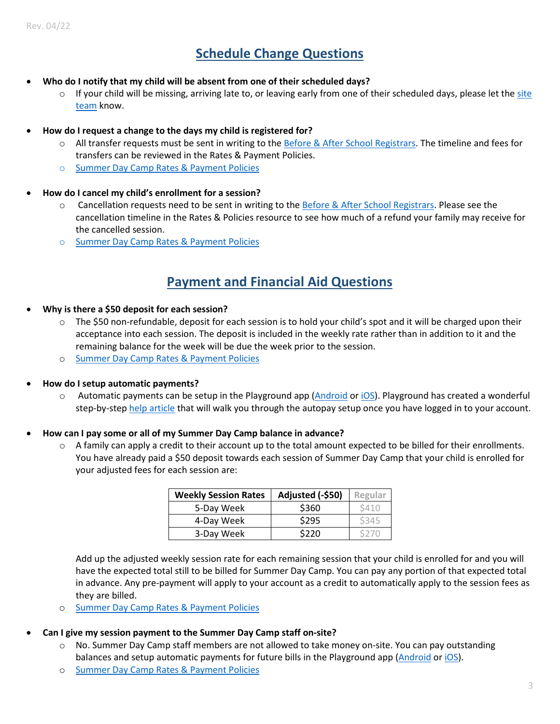# **Schedule Change Questions**

- **Who do I notify that my child will be absent from one of their scheduled days?**
	- If your child will be missing, arriving late to, or leaving early from one of their scheduled days, please let the site [team](#page-5-0) know.
- **How do I request a change to the days my child is registered for?**
	- o All transfer requests must be sent in writing to th[e Before & After School Registrars.](#page-5-0) The timeline and fees for transfers can be reviewed in the Rates & Payment Policies.
	- o [Summer Day Camp Rates & Payment Policies](https://campfirecolumbia.org/wp-content/uploads/2022/04/SDC22-Rates-Payment-Policies-1.pdf)
- **How do I cancel my child's enrollment for a session?**
	- o Cancellation requests need to be sent in writing to th[e Before & After School Registrars.](#page-5-0) Please see the cancellation timeline in the Rates & Policies resource to see how much of a refund your family may receive for the cancelled session.
	- o [Summer Day Camp Rates & Payment Policies](https://campfirecolumbia.org/wp-content/uploads/2022/04/SDC22-Rates-Payment-Policies-1.pdf)

## **Payment and Financial Aid Questions**

- **Why is there a \$50 deposit for each session?**
	- o The \$50 non-refundable, deposit for each session is to hold your child's spot and it will be charged upon their acceptance into each session. The deposit is included in the weekly rate rather than in addition to it and the remaining balance for the week will be due the week prior to the session.
	- o [Summer Day Camp Rates & Payment Policies](https://campfirecolumbia.org/wp-content/uploads/2022/04/SDC22-Rates-Payment-Policies-1.pdf)
- **How do I setup automatic payments?**
	- o Automatic payments can be setup in the Playground app [\(Android](https://play.google.com/store/apps/details?id=com.afterschooldevelopment.carline&hl=en_US&gl=US) o[r iOS\)](https://apps.apple.com/us/app/playground-school-management/id1486661197). Playground has created a wonderful step-by-step [help article](https://help.tryplayground.com/en/articles/5360452-how-to-set-up-autopay) that will walk you through the autopay setup once you have logged in to your account.
- **How can I pay some or all of my Summer Day Camp balance in advance?**
	- $\circ$  A family can apply a credit to their account up to the total amount expected to be billed for their enrollments. You have already paid a \$50 deposit towards each session of Summer Day Camp that your child is enrolled for your adjusted fees for each session are:

| <b>Weekly Session Rates</b> | Adjusted (-\$50) | Regular |
|-----------------------------|------------------|---------|
| 5-Day Week                  | \$360            | S410    |
| 4-Day Week                  | \$295            | \$345   |
| 3-Day Week                  | \$220            | S270    |

Add up the adjusted weekly session rate for each remaining session that your child is enrolled for and you will have the expected total still to be billed for Summer Day Camp. You can pay any portion of that expected total in advance. Any pre-payment will apply to your account as a credit to automatically apply to the session fees as they are billed.

o [Summer Day Camp Rates & Payment Policies](https://campfirecolumbia.org/wp-content/uploads/2022/04/SDC22-Rates-Payment-Policies-1.pdf)

#### • **Can I give my session payment to the Summer Day Camp staff on-site?**

- o No. Summer Day Camp staff members are not allowed to take money on-site. You can pay outstanding balances and setup automatic payments for future bills in the Playground app [\(Android](https://play.google.com/store/apps/details?id=com.afterschooldevelopment.carline&hl=en_US&gl=US) or [iOS\)](https://apps.apple.com/us/app/playground-school-management/id1486661197).
- o [Summer Day Camp Rates & Payment Policies](https://campfirecolumbia.org/wp-content/uploads/2022/04/SDC22-Rates-Payment-Policies-1.pdf)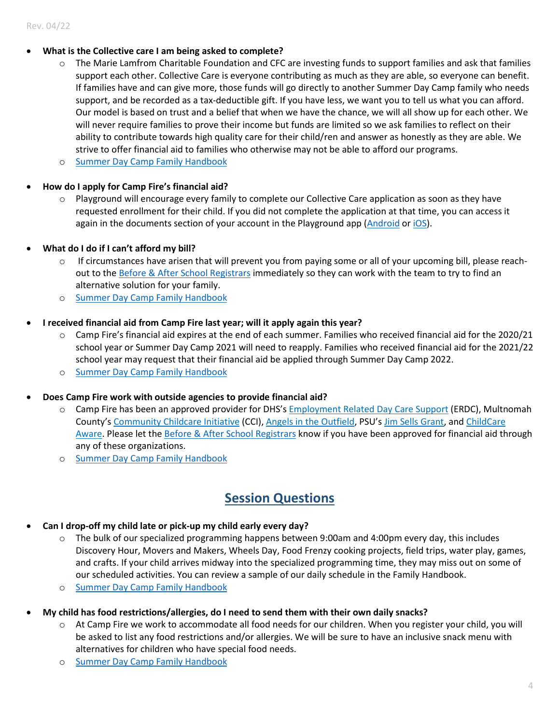#### • **What is the Collective care I am being asked to complete?**

- $\circ$  The Marie Lamfrom Charitable Foundation and CFC are investing funds to support families and ask that families support each other. Collective Care is everyone contributing as much as they are able, so everyone can benefit. If families have and can give more, those funds will go directly to another Summer Day Camp family who needs support, and be recorded as a tax-deductible gift. If you have less, we want you to tell us what you can afford. Our model is based on trust and a belief that when we have the chance, we will all show up for each other. We will never require families to prove their income but funds are limited so we ask families to reflect on their ability to contribute towards high quality care for their child/ren and answer as honestly as they are able. We strive to offer financial aid to families who otherwise may not be able to afford our programs.
- o [Summer Day Camp Family Handbook](https://campfirecolumbia.org/wp-content/uploads/2022/04/SDC-2022-Handbook.pdf)

#### • **How do I apply for Camp Fire's financial aid?**

- $\circ$  Playground will encourage every family to complete our Collective Care application as soon as they have requested enrollment for their child. If you did not complete the application at that time, you can access it again in the documents section of your account in the Playground app ( $\Delta$ ndroid or [iOS\)](https://apps.apple.com/us/app/playground-school-management/id1486661197).
- **What do I do if I can't afford my bill?**
	- $\circ$  If circumstances have arisen that will prevent you from paying some or all of your upcoming bill, please reach-out to the [Before & After School Registrars](#page-5-0) immediately so they can work with the team to try to find an alternative solution for your family.
	- o [Summer Day Camp Family Handbook](https://campfirecolumbia.org/wp-content/uploads/2022/04/SDC-2022-Handbook.pdf)

#### • **I received financial aid from Camp Fire last year; will it apply again this year?**

- $\circ$  Camp Fire's financial aid expires at the end of each summer. Families who received financial aid for the 2020/21 school year or Summer Day Camp 2021 will need to reapply. Families who received financial aid for the 2021/22 school year may request that their financial aid be applied through Summer Day Camp 2022.
- o [Summer Day Camp Family Handbook](https://campfirecolumbia.org/wp-content/uploads/2022/04/SDC-2022-Handbook.pdf)
- **Does Camp Fire work with outside agencies to provide financial aid?**
	- o Camp Fire has been an approved provider for DHS's [Employment Related Day Care Support](https://www.oregon.gov/dhs/assistance/child-care/Pages/Index.aspx) (ERDC), Multnomah County's [Community Childcare Initiative](https://ccrr-mc.org/cci/) (CCI), [Angels in the Outfield,](https://www.theangelsintheoutfield.org/) PSU's [Jim Sells Grant,](https://www.pdx.edu/students-with-children/jim-sells-childcare-subsidy) and [ChildCare](https://www.childcareaware.org/state/oregon/)  [Aware.](https://www.childcareaware.org/state/oregon/) Please let th[e Before & After School Registrars](#page-5-0) know if you have been approved for financial aid through any of these organizations.
	- o [Summer Day Camp Family Handbook](https://campfirecolumbia.org/wp-content/uploads/2022/04/SDC-2022-Handbook.pdf)

## **Session Questions**

- **Can I drop-off my child late or pick-up my child early every day?**
	- o The bulk of our specialized programming happens between 9:00am and 4:00pm every day, this includes Discovery Hour, Movers and Makers, Wheels Day, Food Frenzy cooking projects, field trips, water play, games, and crafts. If your child arrives midway into the specialized programming time, they may miss out on some of our scheduled activities. You can review a sample of our daily schedule in the Family Handbook.
	- o [Summer Day Camp Family Handbook](https://campfirecolumbia.org/wp-content/uploads/2022/04/SDC-2022-Handbook.pdf)
- **My child has food restrictions/allergies, do I need to send them with their own daily snacks?**
	- o At Camp Fire we work to accommodate all food needs for our children. When you register your child, you will be asked to list any food restrictions and/or allergies. We will be sure to have an inclusive snack menu with alternatives for children who have special food needs.
	- o [Summer Day Camp Family](https://campfirecolumbia.org/wp-content/uploads/2022/04/SDC-2022-Handbook.pdf) Handbook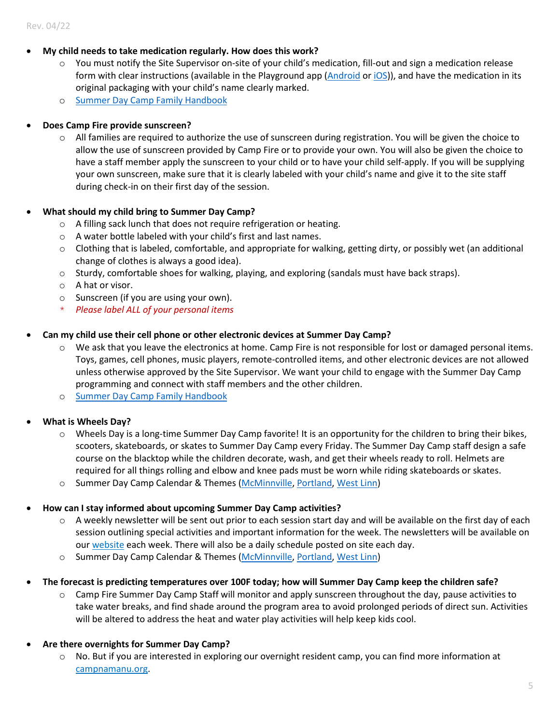- **My child needs to take medication regularly. How does this work?**
	- o You must notify the Site Supervisor on-site of your child's medication, fill-out and sign a medication release form with clear instructions (available in the Playground app [\(Android](https://play.google.com/store/apps/details?id=com.afterschooldevelopment.carline&hl=en_US&gl=US) o[r iOS\)](https://apps.apple.com/us/app/playground-school-management/id1486661197)), and have the medication in its original packaging with your child's name clearly marked.
	- o [Summer Day Camp Family Handbook](https://campfirecolumbia.org/wp-content/uploads/2022/04/SDC-2022-Handbook.pdf)

#### • **Does Camp Fire provide sunscreen?**

 $\circ$  All families are required to authorize the use of sunscreen during registration. You will be given the choice to allow the use of sunscreen provided by Camp Fire or to provide your own. You will also be given the choice to have a staff member apply the sunscreen to your child or to have your child self-apply. If you will be supplying your own sunscreen, make sure that it is clearly labeled with your child's name and give it to the site staff during check-in on their first day of the session.

#### • **What should my child bring to Summer Day Camp?**

- o A filling sack lunch that does not require refrigeration or heating.
- o A water bottle labeled with your child's first and last names.
- $\circ$  Clothing that is labeled, comfortable, and appropriate for walking, getting dirty, or possibly wet (an additional change of clothes is always a good idea).
- $\circ$  Sturdy, comfortable shoes for walking, playing, and exploring (sandals must have back straps).
- o A hat or visor.
- o Sunscreen (if you are using your own).
- \* *Please label ALL of your personal items*

#### • **Can my child use their cell phone or other electronic devices at Summer Day Camp?**

- $\circ$  We ask that you leave the electronics at home. Camp Fire is not responsible for lost or damaged personal items. Toys, games, cell phones, music players, remote-controlled items, and other electronic devices are not allowed unless otherwise approved by the Site Supervisor. We want your child to engage with the Summer Day Camp programming and connect with staff members and the other children.
- o [Summer Day Camp Family Handbook](https://campfirecolumbia.org/wp-content/uploads/2022/04/SDC-2022-Handbook.pdf)

#### • **What is Wheels Day?**

- $\circ$  Wheels Day is a long-time Summer Day Camp favorite! It is an opportunity for the children to bring their bikes, scooters, skateboards, or skates to Summer Day Camp every Friday. The Summer Day Camp staff design a safe course on the blacktop while the children decorate, wash, and get their wheels ready to roll. Helmets are required for all things rolling and elbow and knee pads must be worn while riding skateboards or skates.
- o Summer Day Camp Calendar & Themes [\(McMinnville,](https://campfirecolumbia.org/wp-content/uploads/2022/04/MDC22-Calendar-Themes.pdf) [Portland,](https://campfirecolumbia.org/wp-content/uploads/2022/04/PDC22-Calendar-Themes.pdf) [West Linn\)](https://campfirecolumbia.org/wp-content/uploads/2022/04/WLDC22-Calendar-Themes.pdf)

#### • **How can I stay informed about upcoming Summer Day Camp activities?**

- $\circ$  A weekly newsletter will be sent out prior to each session start day and will be available on the first day of each session outlining special activities and important information for the week. The newsletters will be available on ou[r website](https://campfirecolumbia.org/programs/day-camp/) each week. There will also be a daily schedule posted on site each day.
- o Summer Day Camp Calendar & Themes [\(McMinnville,](https://campfirecolumbia.org/wp-content/uploads/2022/04/MDC22-Calendar-Themes.pdf) [Portland,](https://campfirecolumbia.org/wp-content/uploads/2022/04/PDC22-Calendar-Themes.pdf) [West Linn\)](https://campfirecolumbia.org/wp-content/uploads/2022/04/WLDC22-Calendar-Themes.pdf)
- **The forecast is predicting temperatures over 100F today; how will Summer Day Camp keep the children safe?**
	- o Camp Fire Summer Day Camp Staff will monitor and apply sunscreen throughout the day, pause activities to take water breaks, and find shade around the program area to avoid prolonged periods of direct sun. Activities will be altered to address the heat and water play activities will help keep kids cool.

#### • **Are there overnights for Summer Day Camp?**

o No. But if you are interested in exploring our overnight resident camp, you can find more information at [campnamanu.org.](file://server/working/Registration/Summer%20Program/SDC%202021/Documents/Drafts/campnamanu.org)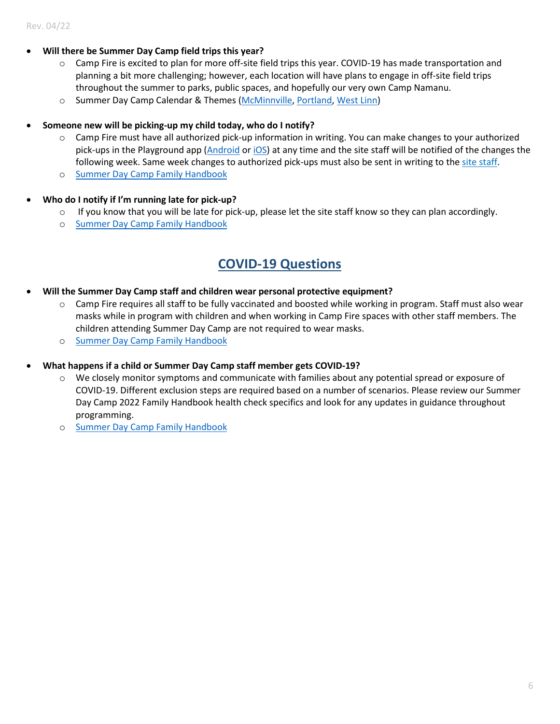- **Will there be Summer Day Camp field trips this year?** 
	- o Camp Fire is excited to plan for more off-site field trips this year. COVID-19 has made transportation and planning a bit more challenging; however, each location will have plans to engage in off-site field trips throughout the summer to parks, public spaces, and hopefully our very own Camp Namanu.
	- o Summer Day Camp Calendar & Themes [\(McMinnville,](https://campfirecolumbia.org/wp-content/uploads/2022/04/MDC22-Calendar-Themes.pdf) [Portland,](https://campfirecolumbia.org/wp-content/uploads/2022/04/PDC22-Calendar-Themes.pdf) [West Linn\)](https://campfirecolumbia.org/wp-content/uploads/2022/04/WLDC22-Calendar-Themes.pdf)
- **Someone new will be picking-up my child today, who do I notify?**
	- o Camp Fire must have all authorized pick-up information in writing. You can make changes to your authorized pick-ups in the Playground app [\(Android](https://play.google.com/store/apps/details?id=com.afterschooldevelopment.carline&hl=en_US&gl=US) or [iOS\)](https://apps.apple.com/us/app/playground-school-management/id1486661197) at any time and the site staff will be notified of the changes the following week. Same week changes to authorized pick-ups must also be sent in writing to th[e site staff.](#page-5-0)
	- o [Summer Day Camp Family Handbook](https://campfirecolumbia.org/wp-content/uploads/2022/04/SDC-2022-Handbook.pdf)
- **Who do I notify if I'm running late for pick-up?**
	- $\circ$  If you know that you will be late for pick-up, please let the site staff know so they can plan accordingly.
	- o [Summer Day Camp Family Handbook](https://campfirecolumbia.org/wp-content/uploads/2022/04/SDC-2022-Handbook.pdf)

## **COVID-19 Questions**

- **Will the Summer Day Camp staff and children wear personal protective equipment?**
	- $\circ$  Camp Fire requires all staff to be fully vaccinated and boosted while working in program. Staff must also wear masks while in program with children and when working in Camp Fire spaces with other staff members. The children attending Summer Day Camp are not required to wear masks.
	- o [Summer Day Camp Family Handbook](https://campfirecolumbia.org/wp-content/uploads/2022/04/SDC-2022-Handbook.pdf)
- <span id="page-5-0"></span>• **What happens if a child or Summer Day Camp staff member gets COVID-19?**
	- $\circ$  We closely monitor symptoms and communicate with families about any potential spread or exposure of COVID-19. Different exclusion steps are required based on a number of scenarios. Please review our Summer Day Camp 2022 Family Handbook health check specifics and look for any updates in guidance throughout programming.
	- o [Summer Day Camp Family Handbook](https://campfirecolumbia.org/wp-content/uploads/2022/04/SDC-2022-Handbook.pdf)